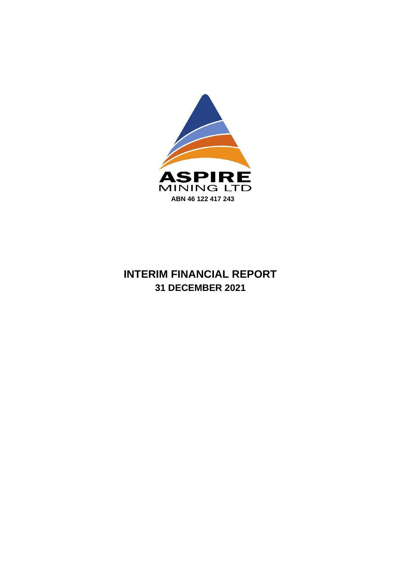

# **INTERIM FINANCIAL REPORT 31 DECEMBER 2021**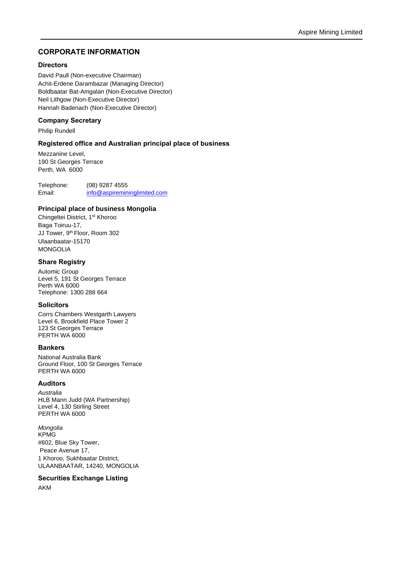## **CORPORATE INFORMATION**

#### **Directors**

David Paull (Non-executive Chairman) Achit-Erdene Darambazar (Managing Director) Boldbaatar Bat-Amgalan (Non-Executive Director) Neil Lithgow (Non-Executive Director) Hannah Badenach (Non-Executive Director)

#### **Company Secretary**

Philip Rundell

#### **Registered office and Australian principal place of business**

Mezzanine Level, 190 St Georges Terrace Perth, WA 6000

Telephone: (08) 9287 4555 Email: [info@aspiremininglimited.com](mailto:info@aspiremininglimited.com)

## **Principal place of business Mongolia**

Chingeltei District, 1<sup>st</sup> Khoroo Baga Toiruu-17, JJ Tower, 9 th Floor, Room 302 Ulaanbaatar-15170 MONGOLIA

#### **Share Registry**

Automic Group Level 5, 191 St Georges Terrace Perth WA 6000 Telephone: 1300 288 664

#### **Solicitors**

Corrs Chambers Westgarth Lawyers Level 6, Brookfield Place Tower 2 123 St Georges Terrace PERTH WA 6000

#### **Bankers**

National Australia Bank Ground Floor, 100 St Georges Terrace PERTH WA 6000

#### **Auditors**

*Australia* HLB Mann Judd (WA Partnership) Level 4, 130 Stirling Street PERTH WA 6000

*Mongolia* KPMG #602, Blue Sky Tower, Peace Avenue 17, 1 Khoroo, Sukhbaatar District, ULAANBAATAR, 14240, MONGOLIA

#### **Securities Exchange Listing**

AKM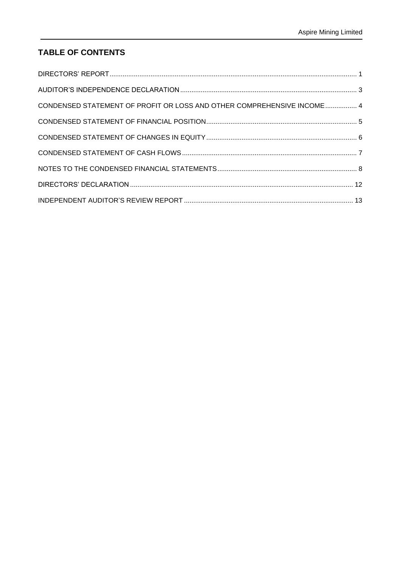## **TABLE OF CONTENTS**

| CONDENSED STATEMENT OF PROFIT OR LOSS AND OTHER COMPREHENSIVE INCOME  4 |  |
|-------------------------------------------------------------------------|--|
|                                                                         |  |
|                                                                         |  |
|                                                                         |  |
|                                                                         |  |
|                                                                         |  |
|                                                                         |  |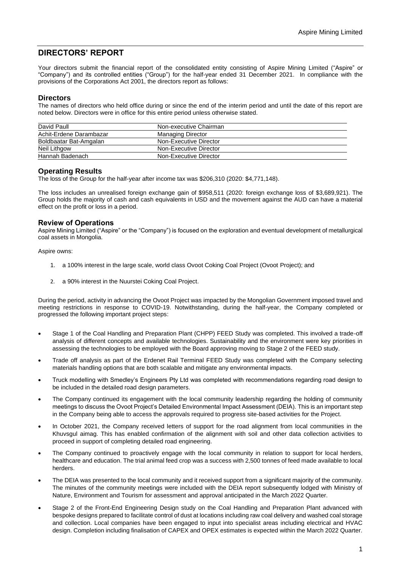## <span id="page-3-0"></span>**DIRECTORS' REPORT**

Your directors submit the financial report of the consolidated entity consisting of Aspire Mining Limited ("Aspire" or "Company") and its controlled entities ("Group") for the half-year ended 31 December 2021. In compliance with the provisions of the Corporations Act 2001, the directors report as follows:

### **Directors**

The names of directors who held office during or since the end of the interim period and until the date of this report are noted below. Directors were in office for this entire period unless otherwise stated.

| David Paull             | Non-executive Chairman |
|-------------------------|------------------------|
| Achit-Erdene Darambazar | Managing Director      |
| Boldbaatar Bat-Amgalan  | Non-Executive Director |
| Neil Lithgow            | Non-Executive Director |
| Hannah Badenach         | Non-Executive Director |
|                         |                        |

## **Operating Results**

The loss of the Group for the half-year after income tax was \$206,310 (2020: \$4,771,148).

The loss includes an unrealised foreign exchange gain of \$958,511 (2020: foreign exchange loss of \$3,689,921). The Group holds the majority of cash and cash equivalents in USD and the movement against the AUD can have a material effect on the profit or loss in a period.

## **Review of Operations**

Aspire Mining Limited ("Aspire" or the "Company") is focused on the exploration and eventual development of metallurgical coal assets in Mongolia.

Aspire owns:

- 1. a 100% interest in the large scale, world class Ovoot Coking Coal Project (Ovoot Project); and
- 2. a 90% interest in the Nuurstei Coking Coal Project.

During the period, activity in advancing the Ovoot Project was impacted by the Mongolian Government imposed travel and meeting restrictions in response to COVID-19. Notwithstanding, during the half-year, the Company completed or progressed the following important project steps:

- Stage 1 of the Coal Handling and Preparation Plant (CHPP) FEED Study was completed. This involved a trade-off analysis of different concepts and available technologies. Sustainability and the environment were key priorities in assessing the technologies to be employed with the Board approving moving to Stage 2 of the FEED study.
- Trade off analysis as part of the Erdenet Rail Terminal FEED Study was completed with the Company selecting materials handling options that are both scalable and mitigate any environmental impacts.
- Truck modelling with Smedley's Engineers Pty Ltd was completed with recommendations regarding road design to be included in the detailed road design parameters.
- The Company continued its engagement with the local community leadership regarding the holding of community meetings to discuss the Ovoot Project's Detailed Environmental Impact Assessment (DEIA). This is an important step in the Company being able to access the approvals required to progress site-based activities for the Project.
- In October 2021, the Company received letters of support for the road alignment from local communities in the Khuvsgul aimag. This has enabled confirmation of the alignment with soil and other data collection activities to proceed in support of completing detailed road engineering.
- The Company continued to proactively engage with the local community in relation to support for local herders, healthcare and education. The trial animal feed crop was a success with 2,500 tonnes of feed made available to local herders.
- The DEIA was presented to the local community and it received support from a significant majority of the community. The minutes of the community meetings were included with the DEIA report subsequently lodged with Ministry of Nature, Environment and Tourism for assessment and approval anticipated in the March 2022 Quarter.
- Stage 2 of the Front-End Engineering Design study on the Coal Handling and Preparation Plant advanced with bespoke designs prepared to facilitate control of dust at locations including raw coal delivery and washed coal storage and collection. Local companies have been engaged to input into specialist areas including electrical and HVAC design. Completion including finalisation of CAPEX and OPEX estimates is expected within the March 2022 Quarter.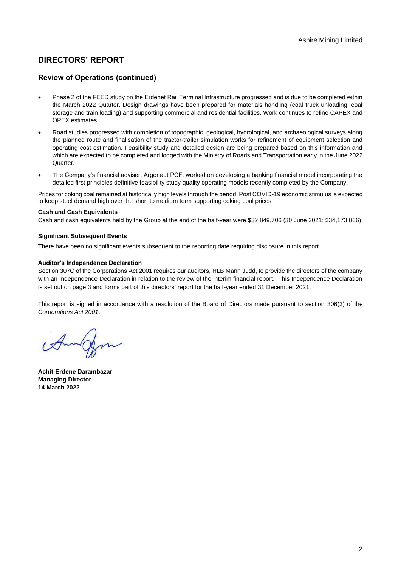## **DIRECTORS' REPORT**

## **Review of Operations (continued)**

- Phase 2 of the FEED study on the Erdenet Rail Terminal Infrastructure progressed and is due to be completed within the March 2022 Quarter. Design drawings have been prepared for materials handling (coal truck unloading, coal storage and train loading) and supporting commercial and residential facilities. Work continues to refine CAPEX and OPEX estimates.
- Road studies progressed with completion of topographic, geological, hydrological, and archaeological surveys along the planned route and finalisation of the tractor-trailer simulation works for refinement of equipment selection and operating cost estimation. Feasibility study and detailed design are being prepared based on this information and which are expected to be completed and lodged with the Ministry of Roads and Transportation early in the June 2022 Quarter.
- The Company's financial adviser, Argonaut PCF, worked on developing a banking financial model incorporating the detailed first principles definitive feasibility study quality operating models recently completed by the Company.

Prices for coking coal remained at historically high levels through the period. Post COVID-19 economic stimulus is expected to keep steel demand high over the short to medium term supporting coking coal prices.

#### **Cash and Cash Equivalents**

Cash and cash equivalents held by the Group at the end of the half-year were \$32,849,706 (30 June 2021: \$34,173,866).

#### **Significant Subsequent Events**

There have been no significant events subsequent to the reporting date requiring disclosure in this report.

#### **Auditor's Independence Declaration**

Section 307C of the Corporations Act 2001 requires our auditors, HLB Mann Judd, to provide the directors of the company with an Independence Declaration in relation to the review of the interim financial report. This Independence Declaration is set out on page 3 and forms part of this directors' report for the half-year ended 31 December 2021.

This report is signed in accordance with a resolution of the Board of Directors made pursuant to section 306(3) of the *Corporations Act 2001*.

**Achit-Erdene Darambazar Managing Director 14 March 2022**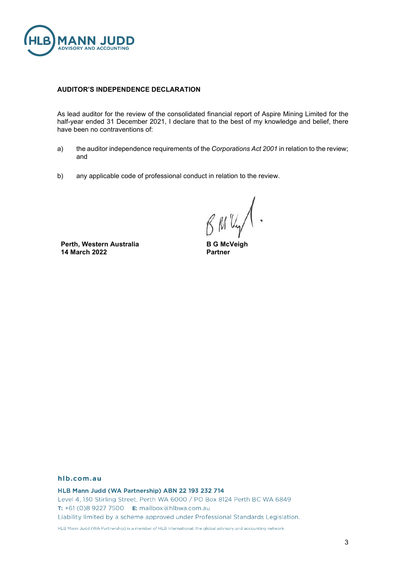

#### **AUDITOR'S INDEPENDENCE DECLARATION**

As lead auditor for the review of the consolidated financial report of Aspire Mining Limited for the half-year ended 31 December 2021, I declare that to the best of my knowledge and belief, there have been no contraventions of:

- a) the auditor independence requirements of the *Corporations Act 2001* in relation to the review; and
- b) any applicable code of professional conduct in relation to the review.

BMUY

**Perth, Western Australia 14 March 2022**

**B G McVeigh Partner**

#### hlb.com.au

HLB Mann Judd (WA Partnership) ABN 22 193 232 714 Level 4, 130 Stirling Street, Perth WA 6000 / PO Box 8124 Perth BC WA 6849 T: +61 (0)8 9227 7500 E: mailbox@hlbwa.com.au Liability limited by a scheme approved under Professional Standards Legislation.

HLB Mann Judd (WA Partnership) is a member of HLB International, the global advisory and accounting network.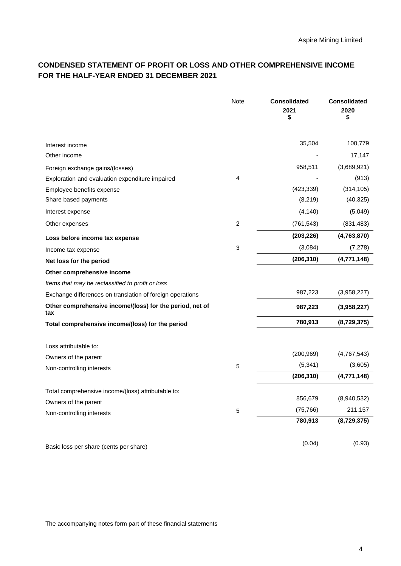## **CONDENSED STATEMENT OF PROFIT OR LOSS AND OTHER COMPREHENSIVE INCOME FOR THE HALF-YEAR ENDED 31 DECEMBER 2021**

|                                                                 | Note        | <b>Consolidated</b><br>2021<br>\$ | <b>Consolidated</b><br>2020<br>\$ |
|-----------------------------------------------------------------|-------------|-----------------------------------|-----------------------------------|
| Interest income                                                 |             | 35,504                            | 100,779                           |
| Other income                                                    |             |                                   | 17,147                            |
| Foreign exchange gains/(losses)                                 |             | 958,511                           | (3,689,921)                       |
| Exploration and evaluation expenditure impaired                 | 4           |                                   | (913)                             |
| Employee benefits expense                                       |             | (423, 339)                        | (314, 105)                        |
| Share based payments                                            |             | (8, 219)                          | (40, 325)                         |
| Interest expense                                                |             | (4, 140)                          | (5,049)                           |
| Other expenses                                                  | 2           | (761, 543)                        | (831, 483)                        |
| Loss before income tax expense                                  |             | (203, 226)                        | (4,763,870)                       |
| Income tax expense                                              | 3           | (3,084)                           | (7, 278)                          |
| Net loss for the period                                         |             | (206, 310)                        | (4,771,148)                       |
| Other comprehensive income                                      |             |                                   |                                   |
| Items that may be reclassified to profit or loss                |             |                                   |                                   |
| Exchange differences on translation of foreign operations       |             | 987,223                           | (3,958,227)                       |
| Other comprehensive income/(loss) for the period, net of<br>tax |             | 987,223                           | (3,958,227)                       |
| Total comprehensive income/(loss) for the period                |             | 780,913                           | (8,729,375)                       |
| Loss attributable to:                                           |             |                                   |                                   |
| Owners of the parent                                            |             | (200, 969)                        | (4,767,543)                       |
| Non-controlling interests                                       | 5           | (5, 341)                          | (3,605)                           |
|                                                                 |             | (206, 310)                        | (4,771,148)                       |
| Total comprehensive income/(loss) attributable to:              |             |                                   |                                   |
| Owners of the parent                                            |             | 856,679                           | (8,940,532)                       |
| Non-controlling interests                                       | $\mathbf 5$ | (75, 766)                         | 211,157                           |
|                                                                 |             | 780,913                           | (8,729,375)                       |
| Basic loss per share (cents per share)                          |             | (0.04)                            | (0.93)                            |

The accompanying notes form part of these financial statements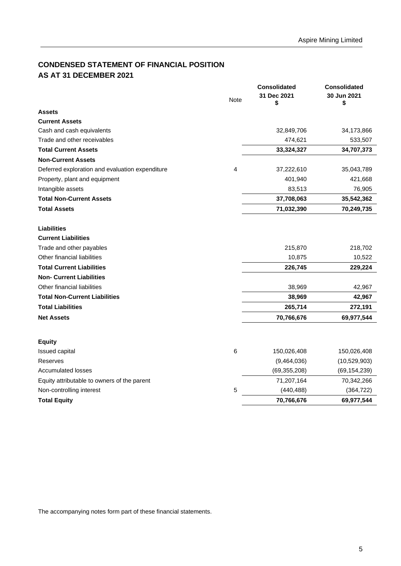## <span id="page-7-0"></span>**CONDENSED STATEMENT OF FINANCIAL POSITION AS AT 31 DECEMBER 2021**

|                                                 |      | <b>Consolidated</b> | <b>Consolidated</b> |
|-------------------------------------------------|------|---------------------|---------------------|
|                                                 | Note | 31 Dec 2021<br>\$   | 30 Jun 2021<br>\$   |
| <b>Assets</b>                                   |      |                     |                     |
| <b>Current Assets</b>                           |      |                     |                     |
| Cash and cash equivalents                       |      | 32,849,706          | 34,173,866          |
| Trade and other receivables                     |      | 474,621             | 533,507             |
| <b>Total Current Assets</b>                     |      | 33,324,327          | 34,707,373          |
| <b>Non-Current Assets</b>                       |      |                     |                     |
| Deferred exploration and evaluation expenditure | 4    | 37,222,610          | 35,043,789          |
| Property, plant and equipment                   |      | 401,940             | 421,668             |
| Intangible assets                               |      | 83,513              | 76,905              |
| <b>Total Non-Current Assets</b>                 |      | 37,708,063          | 35,542,362          |
| <b>Total Assets</b>                             |      | 71,032,390          | 70,249,735          |
| <b>Liabilities</b>                              |      |                     |                     |
| <b>Current Liabilities</b>                      |      |                     |                     |
| Trade and other payables                        |      | 215,870             | 218,702             |
| Other financial liabilities                     |      | 10,875              | 10,522              |
| <b>Total Current Liabilities</b>                |      | 226,745             | 229,224             |
| <b>Non- Current Liabilities</b>                 |      |                     |                     |
| Other financial liabilities                     |      | 38,969              | 42,967              |
| <b>Total Non-Current Liabilities</b>            |      | 38,969              | 42,967              |
| <b>Total Liabilities</b>                        |      | 265,714             | 272,191             |
| <b>Net Assets</b>                               |      | 70,766,676          | 69,977,544          |
|                                                 |      |                     |                     |
| <b>Equity</b>                                   |      |                     |                     |
| Issued capital                                  | 6    | 150,026,408         | 150,026,408         |
| Reserves                                        |      | (9,464,036)         | (10,529,903)        |
| <b>Accumulated losses</b>                       |      | (69, 355, 208)      | (69, 154, 239)      |
| Equity attributable to owners of the parent     |      | 71,207,164          | 70,342,266          |
| Non-controlling interest                        | 5    | (440, 488)          | (364, 722)          |
| <b>Total Equity</b>                             |      | 70,766,676          | 69,977,544          |

The accompanying notes form part of these financial statements.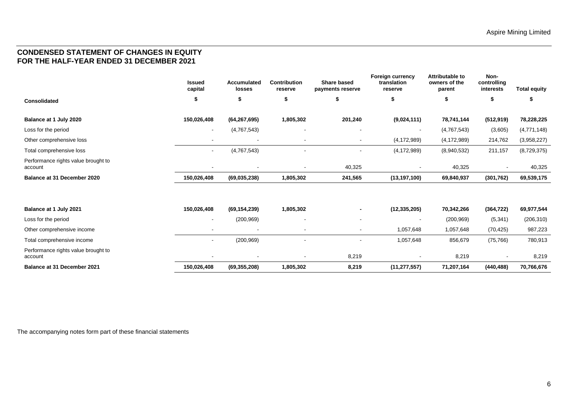## **CONDENSED STATEMENT OF CHANGES IN EQUITY FOR THE HALF-YEAR ENDED 31 DECEMBER 2021**

|                                                | <b>Issued</b><br>capital | <b>Accumulated</b><br>losses | <b>Contribution</b><br>reserve | <b>Share based</b><br>payments reserve | <b>Foreign currency</b><br>translation<br>reserve | Attributable to<br>owners of the<br>parent | Non-<br>controlling<br>interests | <b>Total equity</b> |
|------------------------------------------------|--------------------------|------------------------------|--------------------------------|----------------------------------------|---------------------------------------------------|--------------------------------------------|----------------------------------|---------------------|
| <b>Consolidated</b>                            | \$                       | \$                           | 5                              | \$                                     | \$                                                | S                                          | \$                               | 5                   |
| Balance at 1 July 2020                         | 150,026,408              | (64, 267, 695)               | 1,805,302                      | 201,240                                | (9,024,111)                                       | 78,741,144                                 | (512, 919)                       | 78,228,225          |
| Loss for the period                            | $\sim$                   | (4,767,543)                  | $\overline{\phantom{a}}$       | $\overline{\phantom{a}}$               | $\sim$                                            | (4,767,543)                                | (3,605)                          | (4,771,148)         |
| Other comprehensive loss                       | $\sim$                   | $\sim$                       | $\sim$                         | $\blacksquare$                         | (4, 172, 989)                                     | (4, 172, 989)                              | 214,762                          | (3,958,227)         |
| Total comprehensive loss                       | $\sim$                   | (4,767,543)                  |                                | $\overline{\phantom{a}}$               | (4, 172, 989)                                     | (8,940,532)                                | 211,157                          | (8,729,375)         |
| Performance rights value brought to<br>account |                          | $\blacksquare$               |                                | 40,325                                 |                                                   | 40,325                                     |                                  | 40,325              |
| Balance at 31 December 2020                    | 150,026,408              | (69, 035, 238)               | 1,805,302                      | 241,565                                | (13, 197, 100)                                    | 69,840,937                                 | (301, 762)                       | 69,539,175          |
|                                                |                          |                              |                                |                                        |                                                   |                                            |                                  |                     |
| Balance at 1 July 2021                         | 150,026,408              | (69, 154, 239)               | 1,805,302                      | ۰                                      | (12, 335, 205)                                    | 70,342,266                                 | (364, 722)                       | 69,977,544          |
| Loss for the period                            | ٠                        | (200, 969)                   | $\overline{\phantom{a}}$       | $\overline{\phantom{a}}$               | $\overline{\phantom{a}}$                          | (200, 969)                                 | (5, 341)                         | (206, 310)          |
| Other comprehensive income                     | ٠                        | $\overline{\phantom{a}}$     |                                | $\overline{\phantom{a}}$               | 1,057,648                                         | 1,057,648                                  | (70, 425)                        | 987,223             |
| Total comprehensive income                     |                          | (200, 969)                   |                                |                                        | 1,057,648                                         | 856,679                                    | (75, 766)                        | 780,913             |
| Performance rights value brought to<br>account |                          | $\blacksquare$               |                                | 8,219                                  |                                                   | 8,219                                      |                                  | 8,219               |

<span id="page-8-0"></span>**Balance at 31 December 2021 150,026,408 (69,355,208) 1,805,302 8,219 (11,277,557) 71,207,164 (440,488) 70,766,676**

The accompanying notes form part of these financial statements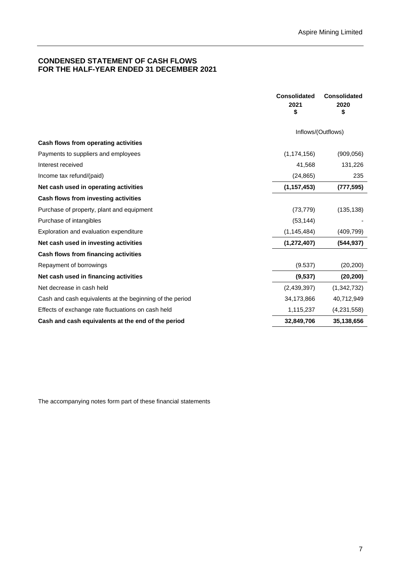## <span id="page-9-0"></span>**CONDENSED STATEMENT OF CASH FLOWS FOR THE HALF-YEAR ENDED 31 DECEMBER 2021**

|                                                          | <b>Consolidated</b> | <b>Consolidated</b> |
|----------------------------------------------------------|---------------------|---------------------|
|                                                          | 2021                | 2020                |
|                                                          | \$                  | \$                  |
|                                                          | Inflows/(Outflows)  |                     |
| Cash flows from operating activities                     |                     |                     |
| Payments to suppliers and employees                      | (1, 174, 156)       | (909,056)           |
| Interest received                                        | 41,568              | 131,226             |
| Income tax refund/(paid)                                 | (24, 865)           | 235                 |
| Net cash used in operating activities                    | (1, 157, 453)       | (777, 595)          |
| Cash flows from investing activities                     |                     |                     |
| Purchase of property, plant and equipment                | (73, 779)           | (135, 138)          |
| Purchase of intangibles                                  | (53, 144)           |                     |
| Exploration and evaluation expenditure                   | (1, 145, 484)       | (409, 799)          |
| Net cash used in investing activities                    | (1, 272, 407)       | (544, 937)          |
| Cash flows from financing activities                     |                     |                     |
| Repayment of borrowings                                  | (9.537)             | (20, 200)           |
| Net cash used in financing activities                    | (9,537)             | (20, 200)           |
| Net decrease in cash held                                | (2,439,397)         | (1,342,732)         |
| Cash and cash equivalents at the beginning of the period | 34,173,866          | 40,712,949          |
| Effects of exchange rate fluctuations on cash held       | 1,115,237           | (4, 231, 558)       |
| Cash and cash equivalents at the end of the period       | 32,849,706          | 35,138,656          |

The accompanying notes form part of these financial statements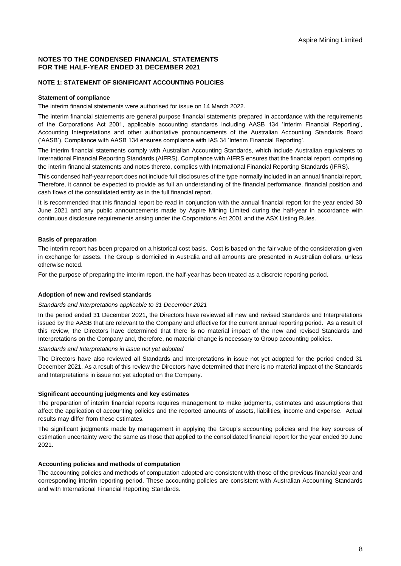#### <span id="page-10-0"></span>**NOTES TO THE CONDENSED FINANCIAL STATEMENTS FOR THE HALF-YEAR ENDED 31 DECEMBER 2021**

#### **NOTE 1: STATEMENT OF SIGNIFICANT ACCOUNTING POLICIES**

#### **Statement of compliance**

The interim financial statements were authorised for issue on 14 March 2022.

The interim financial statements are general purpose financial statements prepared in accordance with the requirements of the Corporations Act 2001, applicable accounting standards including AASB 134 'Interim Financial Reporting', Accounting Interpretations and other authoritative pronouncements of the Australian Accounting Standards Board ('AASB'). Compliance with AASB 134 ensures compliance with IAS 34 'Interim Financial Reporting'.

The interim financial statements comply with Australian Accounting Standards, which include Australian equivalents to International Financial Reporting Standards (AIFRS). Compliance with AIFRS ensures that the financial report, comprising the interim financial statements and notes thereto, complies with International Financial Reporting Standards (IFRS).

This condensed half-year report does not include full disclosures of the type normally included in an annual financial report. Therefore, it cannot be expected to provide as full an understanding of the financial performance, financial position and cash flows of the consolidated entity as in the full financial report.

It is recommended that this financial report be read in conjunction with the annual financial report for the year ended 30 June 2021 and any public announcements made by Aspire Mining Limited during the half-year in accordance with continuous disclosure requirements arising under the Corporations Act 2001 and the ASX Listing Rules.

#### **Basis of preparation**

The interim report has been prepared on a historical cost basis. Cost is based on the fair value of the consideration given in exchange for assets. The Group is domiciled in Australia and all amounts are presented in Australian dollars, unless otherwise noted.

For the purpose of preparing the interim report, the half-year has been treated as a discrete reporting period.

#### **Adoption of new and revised standards**

#### *Standards and Interpretations applicable to 31 December 2021*

In the period ended 31 December 2021, the Directors have reviewed all new and revised Standards and Interpretations issued by the AASB that are relevant to the Company and effective for the current annual reporting period. As a result of this review, the Directors have determined that there is no material impact of the new and revised Standards and Interpretations on the Company and, therefore, no material change is necessary to Group accounting policies.

#### *Standards and Interpretations in issue not yet adopted*

The Directors have also reviewed all Standards and Interpretations in issue not yet adopted for the period ended 31 December 2021. As a result of this review the Directors have determined that there is no material impact of the Standards and Interpretations in issue not yet adopted on the Company.

#### **Significant accounting judgments and key estimates**

The preparation of interim financial reports requires management to make judgments, estimates and assumptions that affect the application of accounting policies and the reported amounts of assets, liabilities, income and expense. Actual results may differ from these estimates.

The significant judgments made by management in applying the Group's accounting policies and the key sources of estimation uncertainty were the same as those that applied to the consolidated financial report for the year ended 30 June 2021.

#### **Accounting policies and methods of computation**

The accounting policies and methods of computation adopted are consistent with those of the previous financial year and corresponding interim reporting period. These accounting policies are consistent with Australian Accounting Standards and with International Financial Reporting Standards.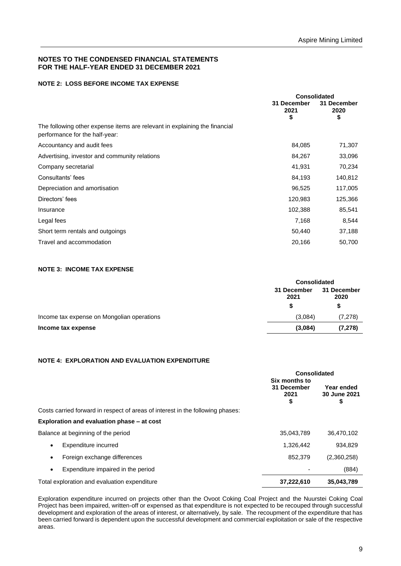#### **NOTES TO THE CONDENSED FINANCIAL STATEMENTS FOR THE HALF-YEAR ENDED 31 DECEMBER 2021**

#### **NOTE 2: LOSS BEFORE INCOME TAX EXPENSE**

|                                                                                                              | <b>Consolidated</b>       |                           |
|--------------------------------------------------------------------------------------------------------------|---------------------------|---------------------------|
|                                                                                                              | 31 December<br>2021<br>\$ | 31 December<br>2020<br>\$ |
| The following other expense items are relevant in explaining the financial<br>performance for the half-year: |                           |                           |
| Accountancy and audit fees                                                                                   | 84,085                    | 71,307                    |
| Advertising, investor and community relations                                                                | 84,267                    | 33,096                    |
| Company secretarial                                                                                          | 41,931                    | 70,234                    |
| Consultants' fees                                                                                            | 84,193                    | 140,812                   |
| Depreciation and amortisation                                                                                | 96,525                    | 117,005                   |
| Directors' fees                                                                                              | 120,983                   | 125,366                   |
| Insurance                                                                                                    | 102,388                   | 85,541                    |
| Legal fees                                                                                                   | 7,168                     | 8,544                     |
| Short term rentals and outgoings                                                                             | 50,440                    | 37,188                    |
| Travel and accommodation                                                                                     | 20,166                    | 50,700                    |

#### **NOTE 3: INCOME TAX EXPENSE**

|                                            | <b>Consolidated</b> |          |             |  |
|--------------------------------------------|---------------------|----------|-------------|--|
|                                            | 31 December<br>2021 |          | 31 December |  |
|                                            | \$                  | \$       |             |  |
| Income tax expense on Mongolian operations | (3,084)             | (7, 278) |             |  |
| Income tax expense                         | (3,084)             | (7, 278) |             |  |
|                                            |                     |          |             |  |

#### **NOTE 4: EXPLORATION AND EVALUATION EXPENDITURE**

|                                                                                | Consolidated                               |                                  |  |
|--------------------------------------------------------------------------------|--------------------------------------------|----------------------------------|--|
|                                                                                | Six months to<br>31 December<br>2021<br>\$ | Year ended<br>30 June 2021<br>\$ |  |
| Costs carried forward in respect of areas of interest in the following phases: |                                            |                                  |  |
| Exploration and evaluation phase – at cost                                     |                                            |                                  |  |
| Balance at beginning of the period                                             | 35,043,789                                 | 36,470,102                       |  |
| Expenditure incurred<br>٠                                                      | 1,326,442                                  | 934,829                          |  |
| Foreign exchange differences<br>٠                                              | 852,379                                    | (2,360,258)                      |  |
| Expenditure impaired in the period<br>٠                                        |                                            | (884)                            |  |
| Total exploration and evaluation expenditure                                   | 37.222.610                                 | 35.043.789                       |  |

Exploration expenditure incurred on projects other than the Ovoot Coking Coal Project and the Nuurstei Coking Coal Project has been impaired, written-off or expensed as that expenditure is not expected to be recouped through successful development and exploration of the areas of interest, or alternatively, by sale. The recoupment of the expenditure that has been carried forward is dependent upon the successful development and commercial exploitation or sale of the respective areas.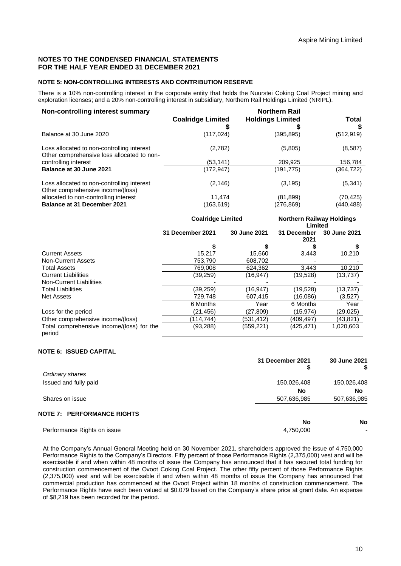#### **NOTES TO THE CONDENSED FINANCIAL STATEMENTS FOR THE HALF YEAR ENDED 31 DECEMBER 2021**

#### **NOTE 5: NON-CONTROLLING INTERESTS AND CONTRIBUTION RESERVE**

There is a 10% non-controlling interest in the corporate entity that holds the Nuurstei Coking Coal Project mining and exploration licenses; and a 20% non-controlling interest in subsidiary, Northern Rail Holdings Limited (NRIPL).

| Non-controlling interest summary                                                         | <b>Coalridge Limited</b> | <b>Northern Rail</b><br><b>Holdings Limited</b> | Total      |
|------------------------------------------------------------------------------------------|--------------------------|-------------------------------------------------|------------|
| Balance at 30 June 2020                                                                  | (117, 024)               | (395,895)                                       | (512, 919) |
| Loss allocated to non-controlling interest<br>Other comprehensive loss allocated to non- | (2,782)                  | (5,805)                                         | (8,587)    |
| controlling interest                                                                     | (53,141)                 | 209,925                                         | 156,784    |
| Balance at 30 June 2021                                                                  | (172, 947)               | (191,775)                                       | (364,722)  |
| Loss allocated to non-controlling interest<br>Other comprehensive income/(loss)          | (2, 146)                 | (3, 195)                                        | (5, 341)   |
| allocated to non-controlling interest                                                    | 11,474                   | (81,899)                                        | (70,425)   |
| <b>Balance at 31 December 2021</b>                                                       | (163,619)                | (276,869)                                       | (440,488)  |

|                                                     | <b>Coalridge Limited</b> |              | <b>Northern Railway Holdings</b><br>Limited |              |
|-----------------------------------------------------|--------------------------|--------------|---------------------------------------------|--------------|
|                                                     | 31 December 2021         | 30 June 2021 | 31 December<br>2021                         | 30 June 2021 |
|                                                     |                          |              |                                             |              |
| <b>Current Assets</b>                               | 15.217                   | 15.660       | 3,443                                       | 10,210       |
| Non-Current Assets                                  | 753.790                  | 608.702      |                                             |              |
| <b>Total Assets</b>                                 | 769,008                  | 624,362      | 3,443                                       | 10,210       |
| <b>Current Liabilities</b>                          | (39, 259)                | (16, 947)    | (19,528)                                    | (13, 737)    |
| Non-Current Liabilities                             |                          |              |                                             |              |
| <b>Total Liabilities</b>                            | (39,259)                 | (16,947)     | (19,528)                                    | (13,737)     |
| Net Assets                                          | 729.748                  | 607,415      | (16.086)                                    | (3,527)      |
|                                                     | 6 Months                 | Year         | 6 Months                                    | Year         |
| Loss for the period                                 | (21, 456)                | (27,809)     | (15,974)                                    | (29,025)     |
| Other comprehensive income/(loss)                   | (114.744)                | (531.412)    | (409.497)                                   | (43,821)     |
| Total comprehensive income/(loss) for the<br>period | (93, 288)                | (559,221)    | (425, 471)                                  | 1,020,603    |

#### **NOTE 6: ISSUED CAPITAL**

|                                   | 31 December 2021<br>\$ | 30 June 2021<br>S        |
|-----------------------------------|------------------------|--------------------------|
| Ordinary shares                   |                        |                          |
| Issued and fully paid             | 150,026,408            | 150,026,408              |
|                                   | No                     | No                       |
| Shares on issue                   | 507,636,985            | 507,636,985              |
| <b>NOTE 7: PERFORMANCE RIGHTS</b> |                        |                          |
|                                   | No                     | <b>No</b>                |
| Performance Rights on issue       | 4,750,000              | $\overline{\phantom{0}}$ |

At the Company's Annual General Meeting held on 30 November 2021, shareholders approved the issue of 4,750,000 Performance Rights to the Company's Directors. Fifty percent of those Performance Rights (2,375,000) vest and will be exercisable if and when within 48 months of issue the Company has announced that it has secured total funding for construction commencement of the Ovoot Coking Coal Project. The other fifty percent of those Performance Rights (2,375,000) vest and will be exercisable if and when within 48 months of issue the Company has announced that commercial production has commenced at the Ovoot Project within 18 months of construction commencement. The Performance Rights have each been valued at \$0.079 based on the Company's share price at grant date. An expense of \$8,219 has been recorded for the period.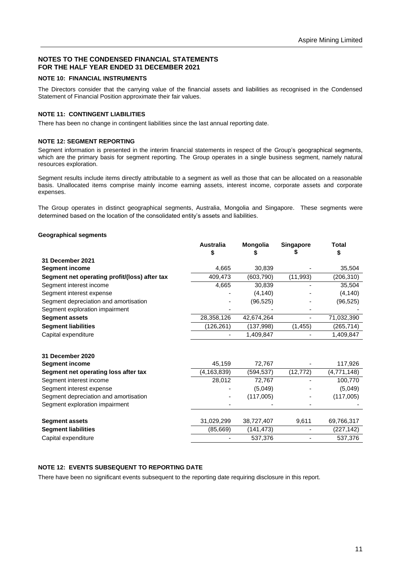#### **NOTES TO THE CONDENSED FINANCIAL STATEMENTS FOR THE HALF YEAR ENDED 31 DECEMBER 2021**

#### **NOTE 10: FINANCIAL INSTRUMENTS**

The Directors consider that the carrying value of the financial assets and liabilities as recognised in the Condensed Statement of Financial Position approximate their fair values.

### **NOTE 11: CONTINGENT LIABILITIES**

There has been no change in contingent liabilities since the last annual reporting date.

#### **NOTE 12: SEGMENT REPORTING**

Segment information is presented in the interim financial statements in respect of the Group's geographical segments, which are the primary basis for segment reporting. The Group operates in a single business segment, namely natural resources exploration.

Segment results include items directly attributable to a segment as well as those that can be allocated on a reasonable basis. Unallocated items comprise mainly income earning assets, interest income, corporate assets and corporate expenses.

The Group operates in distinct geographical segments, Australia, Mongolia and Singapore. These segments were determined based on the location of the consolidated entity's assets and liabilities.

#### **Geographical segments**

|                                               | <b>Australia</b><br>S | <b>Mongolia</b> | Singapore | <b>Total</b><br>S |
|-----------------------------------------------|-----------------------|-----------------|-----------|-------------------|
| 31 December 2021                              |                       |                 |           |                   |
| <b>Segment income</b>                         | 4,665                 | 30,839          |           | 35,504            |
| Segment net operating profit/(loss) after tax | 409,473               | (603, 790)      | (11, 993) | (206, 310)        |
| Segment interest income                       | 4,665                 | 30,839          |           | 35,504            |
| Segment interest expense                      |                       | (4, 140)        |           | (4, 140)          |
| Segment depreciation and amortisation         |                       | (96, 525)       |           | (96, 525)         |
| Segment exploration impairment                |                       |                 |           |                   |
| <b>Segment assets</b>                         | 28,358,126            | 42,674,264      |           | 71,032,390        |
| <b>Segment liabilities</b>                    | (126, 261)            | (137,998)       | (1, 455)  | (265, 714)        |
| Capital expenditure                           |                       | 1,409,847       |           | 1,409,847         |
| 31 December 2020                              |                       |                 |           |                   |
| <b>Segment income</b>                         | 45,159                | 72,767          |           | 117,926           |
| Segment net operating loss after tax          | (4,163,839)           | (594, 537)      | (12, 772) | (4,771,148)       |
| Segment interest income                       | 28,012                | 72,767          |           | 100,770           |
| Segment interest expense                      |                       | (5,049)         |           | (5,049)           |
| Segment depreciation and amortisation         |                       | (117,005)       |           | (117,005)         |
| Segment exploration impairment                |                       |                 |           |                   |
| <b>Segment assets</b>                         | 31,029,299            | 38,727,407      | 9,611     | 69,766,317        |
| <b>Segment liabilities</b>                    | (85, 669)             | (141, 473)      |           | (227,142)         |
| Capital expenditure                           |                       | 537,376         |           | 537,376           |

#### **NOTE 12: EVENTS SUBSEQUENT TO REPORTING DATE**

There have been no significant events subsequent to the reporting date requiring disclosure in this report.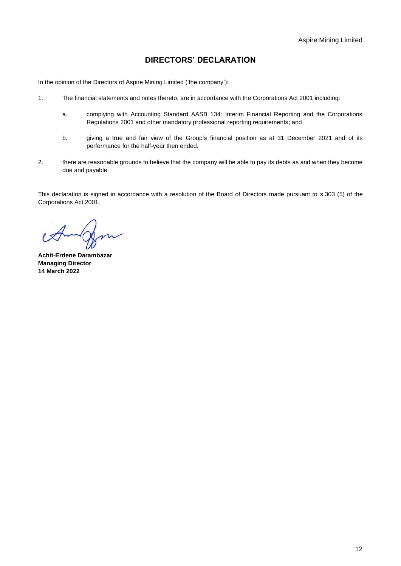## **DIRECTORS' DECLARATION**

In the opinion of the Directors of Aspire Mining Limited ('the company'):

- 1. The financial statements and notes thereto, are in accordance with the Corporations Act 2001 including:
	- a. complying with Accounting Standard AASB 134: Interim Financial Reporting and the Corporations Regulations 2001 and other mandatory professional reporting requirements; and
	- b. giving a true and fair view of the Group's financial position as at 31 December 2021 and of its performance for the half-year then ended.
- 2. there are reasonable grounds to believe that the company will be able to pay its debts as and when they become due and payable.

This declaration is signed in accordance with a resolution of the Board of Directors made pursuant to s.303 (5) of the Corporations Act 2001.

**Achit-Erdene Darambazar Managing Director 14 March 2022**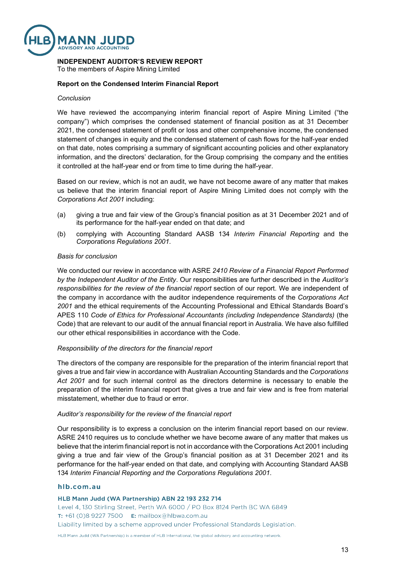

#### **INDEPENDENT AUDITOR'S REVIEW REPORT**

To the members of Aspire Mining Limited

#### **Report on the Condensed Interim Financial Report**

#### *Conclusion*

We have reviewed the accompanying interim financial report of Aspire Mining Limited ("the company") which comprises the condensed statement of financial position as at 31 December 2021, the condensed statement of profit or loss and other comprehensive income, the condensed statement of changes in equity and the condensed statement of cash flows for the half-year ended on that date, notes comprising a summary of significant accounting policies and other explanatory information, and the directors' declaration, for the Group comprising the company and the entities it controlled at the half-year end or from time to time during the half-year.

Based on our review, which is not an audit, we have not become aware of any matter that makes us believe that the interim financial report of Aspire Mining Limited does not comply with the *Corporations Act 2001* including:

- (a) giving a true and fair view of the Group's financial position as at 31 December 2021 and of its performance for the half-year ended on that date; and
- (b) complying with Accounting Standard AASB 134 *Interim Financial Reporting* and the *Corporations Regulations 2001*.

#### *Basis for conclusion*

We conducted our review in accordance with ASRE *2410 Review of a Financial Report Performed by the Independent Auditor of the Entity*. Our responsibilities are further described in the *Auditor's responsibilities for the review of the financial report* section of our report. We are independent of the company in accordance with the auditor independence requirements of the *Corporations Act 2001* and the ethical requirements of the Accounting Professional and Ethical Standards Board's APES 110 *Code of Ethics for Professional Accountants (including Independence Standards)* (the Code) that are relevant to our audit of the annual financial report in Australia. We have also fulfilled our other ethical responsibilities in accordance with the Code.

#### *Responsibility of the directors for the financial report*

The directors of the company are responsible for the preparation of the interim financial report that gives a true and fair view in accordance with Australian Accounting Standards and the *Corporations Act 2001* and for such internal control as the directors determine is necessary to enable the preparation of the interim financial report that gives a true and fair view and is free from material misstatement, whether due to fraud or error.

#### *Auditor's responsibility for the review of the financial report*

Our responsibility is to express a conclusion on the interim financial report based on our review. ASRE 2410 requires us to conclude whether we have become aware of any matter that makes us believe that the interim financial report is not in accordance with the Corporations Act 2001 including giving a true and fair view of the Group's financial position as at 31 December 2021 and its performance for the half-year ended on that date, and complying with Accounting Standard AASB 134 *Interim Financial Reporting and the Corporations Regulations 2001*.

#### hlb.com.au

HLB Mann Judd (WA Partnership) ABN 22 193 232 714 Level 4, 130 Stirling Street, Perth WA 6000 / PO Box 8124 Perth BC WA 6849 T:  $+61(0)892277500$  E: mailbox@hlbwa.com.au Liability limited by a scheme approved under Professional Standards Legislation.

HLB Mann Judd (WA Partnership) is a member of HLB International, the global advisory and accounting network